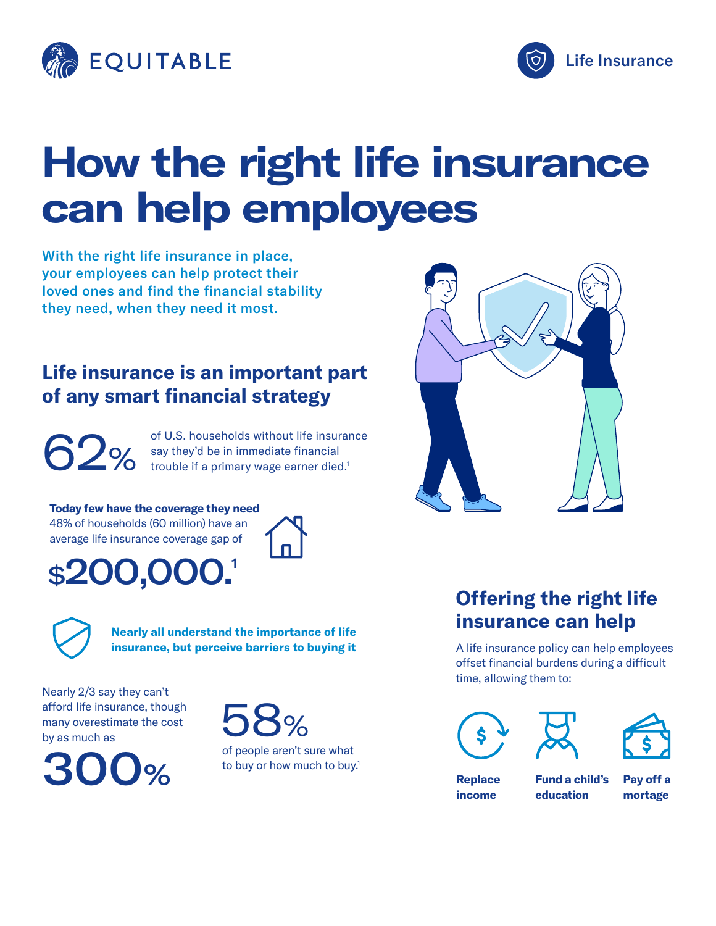



## **How the right life insurance can help employees**

With the right life insurance in place, your employees can help protect their loved ones and find the financial stability they need, when they need it most.

### **Life insurance is an important part of any smart financial strategy**

62%

of U.S. households without life insurance say they'd be in immediate financial trouble if a primary wage earner died.<sup>1</sup>

#### **Today few have the coverage they need**

48% of households (60 million) have an average life insurance coverage gap of



\$200,000.



**Nearly all understand the importance of life insurance, but perceive barriers to buying it**

Nearly 2/3 say they can't afford life insurance, though many overestimate the cost by as much as





of people aren't sure what to buy or how much to buy.<sup>1</sup>



## **Offering the right life insurance can help**

A life insurance policy can help employees offset financial burdens during a difficult time, allowing them to:







**Replace income**

**Fund a child's education**

**Pay off a mortage**